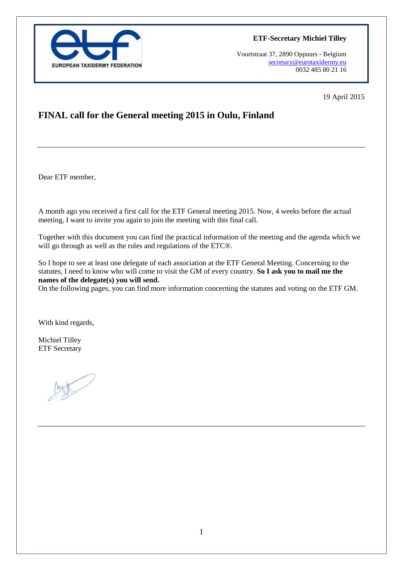

**ETF-Secretary Michiel Tilley**

Voortstraat 37, 2890 Oppuurs - Belgium [secretary@eurotaxidermy.eu](mailto:secretary@eurotaxidermy.eu)  0032 485 80 21 16

19 April 2015

# **FINAL call for the General meeting 2015 in Oulu, Finland**

Dear ETF member,

A month ago you received a first call for the ETF General meeting 2015. Now, 4 weeks before the actual meeting. I want to invite you again to join the meeting with this final call.

Together with this document you can find the practical information of the meeting and the agenda which we will go through as well as the rules and regulations of the ETC®.

So I hope to see at least one delegate of each association at the ETF General Meeting. Concerning to the statutes, I need to know who will come to visit the GM of every country. **So I ask you to mail me the names of the delegate(s) you will send.**

On the following pages, you can find more information concerning the statutes and voting on the ETF GM.

With kind regards,

Michiel Tilley ETF Secretary